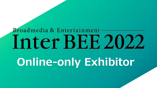# Broadmedia & Entertainment-Inter BEE 2022 **Online-only Exhibitor**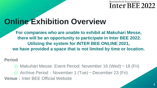# **Online Exhibition Overview**

**For companies who are unable to exhibit at Makuhari Messe, there will be an opportunity to participate in Inter BEE 2022. Utilizing the system for INTER BEE ONLINE 2021, we have provided a space that is not limited by time or location.**

**Period**

 $\odot$  Makuhari Messe Event Period: November 16 (Wed) $\sim$  18 (Fri)

 $\odot$  Archive Period: November 1 (Tue)~December 23 (Fri)

**Venue**: Inter BEE Official Website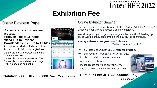# **Exhibition Fee**

# Online Exhibitor Page

・A company page to showcase products.

#### **Products:up to 15 items Video:up to 9 videos Downloadable file : up to 12 files**

- ・Company added to Exhibitor List
- ・Provision of visitor data (twice)
- Data of visitors who viewed Demo and Presentation video
- Data of visitors who downloaded files.
- Data of visitors who visited your page while logged on and opt-in



### Online Exhibitor Seminar

You can appeal to many visitors with the "Online Exhibitor Seminar," which was popular at last year's online exhibition.

We will support you in gaining a large audience with PR leading up to, as well as announcements on the day of, the conference.

#### **Average viewers last year: 1000 viewers**

(Archived period of 3 months)

Broadmedia & Entertainment-

Inter BEE 2022

- ・Will be listed under Inter BEE Conference Program.
- ・Will be shown on your Exhibitor Detail Page.
- ・Provision of visitor data on who are attending the stream.
- ・Please create the video on your own, live streaming the conference is possible.

### **Seminar Fee: JPY 440,000(incl. Tax)**



**Exhibition Fee**:**JPY 880,000**(**incl. Tax**)**/ 1 Page**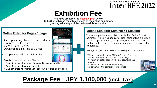# **Exhibition Fee**

**We have prepared the package plan below to further enhance the effectiveness of the online exhibition, by taking advantage of the online exhibitor seminar.**

### **Online Exhibitor Page / 1 page**

- A company page to showcase products. Products: up to 15 items Video: up to 9 videos Downloadable file : up to 12 files
- Company added to Exhibitor List
- Provision of visitor data (twice)
- Data of visitors who viewed Demo and Presentation video
- Data of visitors who downloaded files.
- Data of visitors who visited your page while logged on and opt-in



#### **Online Exhibitor Seminar / 1 Session**

You can appeal to many visitors with the "Online Exhibitor Seminar," which was popular at last year's online exhibition. We will support you in gaining a large audience with PR leading up to, as well as announcements on the day of, the conference.

Average last year:700 viewers (Archived period of 1 month)

- ・Will be listed under Inter BEE Conference Program.
- ・Will be shown on your Exhibitor Detail Page.
- ・Provision of visitor data on who are attending the stream.
- ・Please create the video on your own, live streaming the conference is possible.



# **Package Fee**:**JPY 1,100,000 (incl. Tax)**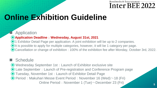# **Online Exhibition Guideline**

# **Application**

### ⦿**Application Deadline**:**Wednesday, August 31st, 2021**

⦿1 Exhibitor Detail Page per application. A joint exhibition will be up to 2 companies.

⦿It is possible to apply for multiple categories, however, it will be 1 category per page.

⦿Cancellation or change of exhibition : 100% of the exhibition fee after Monday, October 3rd, 2022.

# ■ Schedule

⦿Wednesday September 1st:Launch of Exhibitor exclusive site ⦿Late September:Launch of Pre-registration and Conference Program page ⦿Tuesday, November 1st:Launch of Exhibitor Detail Page  $\odot$  Period: Makuhari Messe Event Period: November 16 (Wed) $\sim$  18 (Fri) Online Period: November 1 (Tue) $\sim$ December 23 (Fri)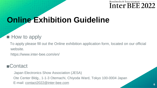# **Online Exhibition Guideline**

# $\blacksquare$  How to apply

To apply please fill out the Online exhibition application form, located on our official website.

https://www.inter-bee.com/en/

# ■Contact

Japan Electronics Show Association (JESA) Ote Center Bldg., 1-1-3 Otemachi, Chiyoda Ward, Tokyo 100-0004 Japan E-mail: contact2022@inter-bee.com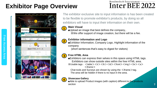# **Exhibitor Page Overview**

## Broadmedia & Entertainment-Inter BEE 2022

**7**



The exhibitor exclusive site to input information is has been created to be flexible to promote exhibitor's products, by doing so all exhibitors will have to input their information on their own.

#### **Main Visual 1**

■Upload an image that best defines the company,. ※We offer support of image creation, but there will be a fee.

# **2**

**3**

**4**

#### **Exhibitor information and Logo**

■Exhibitor Information, Company Logo, Highlight information of the company

(short sentences that's easy to digest for visitors)

### **Free HTML Area**

■Exhibitors can express their selves in this space using HTML tags. Exhibitors can show outside sites within the free HTML area.

※Usable tags: <table><tr>><tr><th><td><front><img><br/><tr><a>  $\langle$ iframe $\rangle$ 

Chat tools and Surveys are shown by using the  $\leq$ iframe $>$ tag. The area will be hidden if there is no input in the area.

#### **Showcase Gallery**

■Able to upload Product images (with caption) different to the products section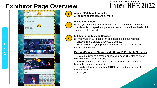# **Exhibitor Page Overview**

### Broadmedia & Entertainment-Inter BEE 2022







**6**

#### **Appeal / Exhibitor Information**

■Highlights of products and services.

#### **Event Information**

■Once you input any information on your in-booth or online events. Such as, Booth speakers, performances and/or webinars held with in the exhibition period.

# **7**

#### **Exhibiting Product and Services**

■A maximum of 10 images can be posted per product/service. Choose from a variety of layouts prepared.

Set keywords on your product so they will show up when the keyword is searched.

#### **Product/Services Showcased : Up to 10 Products/Services**

※When registering a product or service, please fill out the following items on the exhibitor exclusive site

・Product/Service name and keywords for search. (Maximum of 3 keywords per product/service)

• Product/Service description (HTML tags can be used to post external links)

・Images